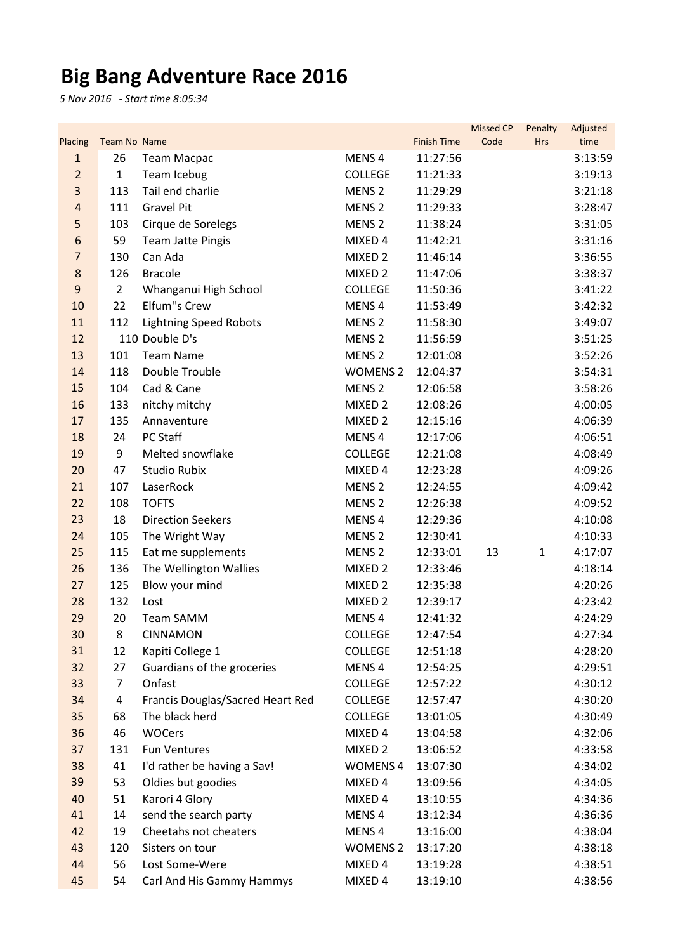## **Big Bang Adventure Race 2016**

*5 Nov 2016 - Start time 8:05:34*

| Placing          | <b>Team No Name</b> |                                      |                           | <b>Finish Time</b>   | <b>Missed CP</b><br>Code | Penalty<br><b>Hrs</b> | Adjusted<br>time   |
|------------------|---------------------|--------------------------------------|---------------------------|----------------------|--------------------------|-----------------------|--------------------|
| $\mathbf{1}$     | 26                  | <b>Team Macpac</b>                   | MENS <sub>4</sub>         | 11:27:56             |                          |                       | 3:13:59            |
| $\overline{2}$   | $\mathbf{1}$        | Team Icebug                          | <b>COLLEGE</b>            | 11:21:33             |                          |                       | 3:19:13            |
| 3                | 113                 | Tail end charlie                     | MENS <sub>2</sub>         | 11:29:29             |                          |                       | 3:21:18            |
| 4                | 111                 | <b>Gravel Pit</b>                    | MENS <sub>2</sub>         | 11:29:33             |                          |                       | 3:28:47            |
| 5                | 103                 | Cirque de Sorelegs                   | MENS <sub>2</sub>         | 11:38:24             |                          |                       | 3:31:05            |
| 6                | 59                  | <b>Team Jatte Pingis</b>             | MIXED 4                   | 11:42:21             |                          |                       | 3:31:16            |
| $\overline{7}$   | 130                 | Can Ada                              | MIXED 2                   | 11:46:14             |                          |                       | 3:36:55            |
| $\bf 8$          | 126                 | <b>Bracole</b>                       | MIXED <sub>2</sub>        | 11:47:06             |                          |                       | 3:38:37            |
| $\boldsymbol{9}$ | $\overline{2}$      | Whanganui High School                | <b>COLLEGE</b>            | 11:50:36             |                          |                       | 3:41:22            |
| 10               | 22                  | Elfum"s Crew                         | MENS <sub>4</sub>         | 11:53:49             |                          |                       | 3:42:32            |
| 11               | 112                 | <b>Lightning Speed Robots</b>        | MENS <sub>2</sub>         | 11:58:30             |                          |                       | 3:49:07            |
| 12               |                     | 110 Double D's                       | MENS <sub>2</sub>         | 11:56:59             |                          |                       | 3:51:25            |
| 13               | 101                 | <b>Team Name</b>                     | MENS <sub>2</sub>         | 12:01:08             |                          |                       | 3:52:26            |
| 14               | 118                 | Double Trouble                       | <b>WOMENS 2</b>           | 12:04:37             |                          |                       | 3:54:31            |
| 15               | 104                 | Cad & Cane                           | MENS <sub>2</sub>         | 12:06:58             |                          |                       | 3:58:26            |
| 16               | 133                 | nitchy mitchy                        | MIXED 2                   | 12:08:26             |                          |                       | 4:00:05            |
| 17               | 135                 | Annaventure                          | MIXED 2                   | 12:15:16             |                          |                       | 4:06:39            |
| 18               | 24                  | PC Staff                             | MENS <sub>4</sub>         | 12:17:06             |                          |                       | 4:06:51            |
| 19               | 9                   | Melted snowflake                     | <b>COLLEGE</b>            | 12:21:08             |                          |                       | 4:08:49            |
| 20               | 47                  | <b>Studio Rubix</b>                  | MIXED 4                   | 12:23:28             |                          |                       | 4:09:26            |
| 21               | 107                 | LaserRock                            | MENS <sub>2</sub>         | 12:24:55             |                          |                       | 4:09:42            |
| 22               | 108                 | <b>TOFTS</b>                         | MENS <sub>2</sub>         | 12:26:38             |                          |                       | 4:09:52            |
| 23               | 18                  | <b>Direction Seekers</b>             | MENS <sub>4</sub>         | 12:29:36             |                          |                       | 4:10:08            |
| 24               | 105                 | The Wright Way                       | MENS <sub>2</sub>         | 12:30:41             |                          |                       | 4:10:33            |
| 25               | 115                 | Eat me supplements                   | MENS <sub>2</sub>         | 12:33:01             | 13                       | $\mathbf{1}$          | 4:17:07            |
| 26               | 136                 | The Wellington Wallies               | MIXED 2                   | 12:33:46             |                          |                       | 4:18:14            |
| 27               | 125                 | Blow your mind                       | MIXED <sub>2</sub>        | 12:35:38             |                          |                       | 4:20:26            |
| 28               | 132                 | Lost                                 | MIXED <sub>2</sub>        | 12:39:17             |                          |                       | 4:23:42            |
| 29               | 20                  | <b>Team SAMM</b>                     | MENS <sub>4</sub>         | 12:41:32             |                          |                       | 4:24:29            |
| 30               | 8                   | <b>CINNAMON</b>                      | <b>COLLEGE</b>            | 12:47:54             |                          |                       | 4:27:34            |
| 31               | 12                  | Kapiti College 1                     | <b>COLLEGE</b>            | 12:51:18             |                          |                       | 4:28:20            |
| 32               | 27                  | Guardians of the groceries           | MENS <sub>4</sub>         | 12:54:25             |                          |                       | 4:29:51            |
| 33               | 7                   | Onfast                               | <b>COLLEGE</b>            | 12:57:22             |                          |                       | 4:30:12            |
| 34               | 4                   | Francis Douglas/Sacred Heart Red     | COLLEGE                   | 12:57:47             |                          |                       | 4:30:20            |
| 35               | 68                  | The black herd<br><b>WOCers</b>      | <b>COLLEGE</b>            | 13:01:05             |                          |                       | 4:30:49            |
| 36<br>37         | 46<br>131           | <b>Fun Ventures</b>                  | MIXED 4                   | 13:04:58<br>13:06:52 |                          |                       | 4:32:06            |
|                  | 41                  | I'd rather be having a Sav!          | MIXED 2<br><b>WOMENS4</b> |                      |                          |                       | 4:33:58<br>4:34:02 |
| 38               |                     |                                      |                           | 13:07:30             |                          |                       |                    |
| 39<br>40         | 53<br>51            | Oldies but goodies<br>Karori 4 Glory | MIXED 4<br>MIXED 4        | 13:09:56<br>13:10:55 |                          |                       | 4:34:05            |
| 41               | 14                  | send the search party                | MENS <sub>4</sub>         | 13:12:34             |                          |                       | 4:34:36<br>4:36:36 |
| 42               | 19                  | Cheetahs not cheaters                | MENS <sub>4</sub>         | 13:16:00             |                          |                       | 4:38:04            |
| 43               | 120                 | Sisters on tour                      | <b>WOMENS 2</b>           | 13:17:20             |                          |                       | 4:38:18            |
| 44               | 56                  | Lost Some-Were                       | MIXED 4                   | 13:19:28             |                          |                       | 4:38:51            |
| 45               | 54                  | Carl And His Gammy Hammys            | MIXED 4                   | 13:19:10             |                          |                       | 4:38:56            |
|                  |                     |                                      |                           |                      |                          |                       |                    |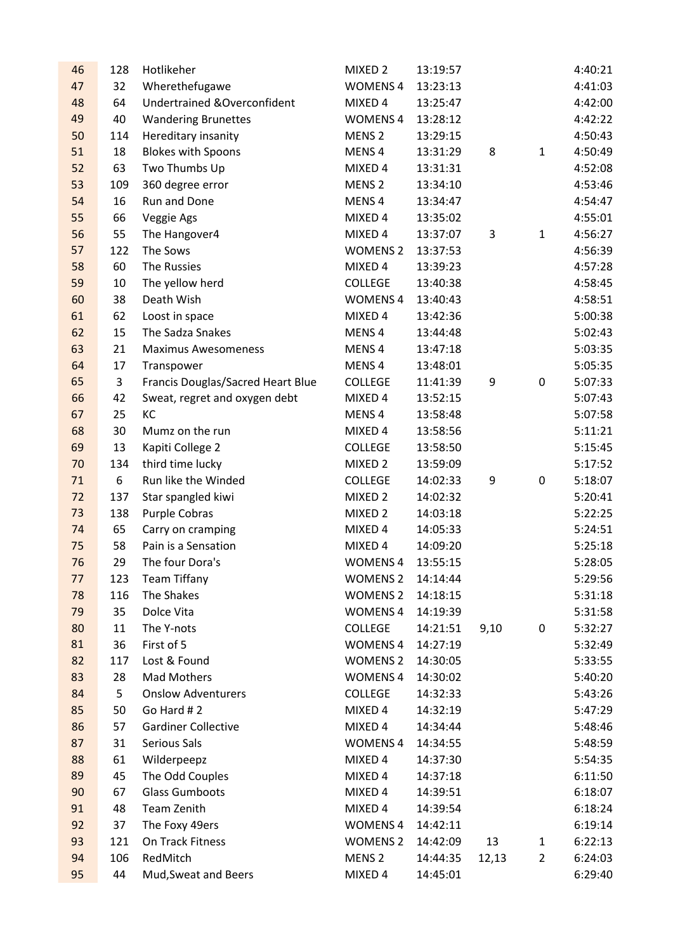| 46 | 128 | Hotlikeher                              | MIXED <sub>2</sub> | 13:19:57 |       |                | 4:40:21 |
|----|-----|-----------------------------------------|--------------------|----------|-------|----------------|---------|
| 47 | 32  | Wherethefugawe                          | <b>WOMENS 4</b>    | 13:23:13 |       |                | 4:41:03 |
| 48 | 64  | <b>Undertrained &amp; Overconfident</b> | MIXED 4            | 13:25:47 |       |                | 4:42:00 |
| 49 | 40  | <b>Wandering Brunettes</b>              | <b>WOMENS 4</b>    | 13:28:12 |       |                | 4:42:22 |
| 50 | 114 | <b>Hereditary insanity</b>              | MENS <sub>2</sub>  | 13:29:15 |       |                | 4:50:43 |
| 51 | 18  | <b>Blokes with Spoons</b>               | MENS <sub>4</sub>  | 13:31:29 | 8     | $\mathbf{1}$   | 4:50:49 |
| 52 | 63  | Two Thumbs Up                           | MIXED 4            | 13:31:31 |       |                | 4:52:08 |
| 53 | 109 | 360 degree error                        | MENS <sub>2</sub>  | 13:34:10 |       |                | 4:53:46 |
| 54 | 16  | Run and Done                            | MENS <sub>4</sub>  | 13:34:47 |       |                | 4:54:47 |
| 55 | 66  | Veggie Ags                              | MIXED 4            | 13:35:02 |       |                | 4:55:01 |
| 56 | 55  | The Hangover4                           | MIXED 4            | 13:37:07 | 3     | $\mathbf{1}$   | 4:56:27 |
| 57 | 122 | The Sows                                | <b>WOMENS 2</b>    | 13:37:53 |       |                | 4:56:39 |
| 58 | 60  | The Russies                             | MIXED 4            | 13:39:23 |       |                | 4:57:28 |
| 59 | 10  | The yellow herd                         | <b>COLLEGE</b>     | 13:40:38 |       |                | 4:58:45 |
| 60 | 38  | Death Wish                              | <b>WOMENS 4</b>    | 13:40:43 |       |                | 4:58:51 |
| 61 | 62  | Loost in space                          | MIXED 4            | 13:42:36 |       |                | 5:00:38 |
| 62 | 15  | The Sadza Snakes                        | MENS <sub>4</sub>  | 13:44:48 |       |                | 5:02:43 |
| 63 | 21  | <b>Maximus Awesomeness</b>              | MENS <sub>4</sub>  | 13:47:18 |       |                | 5:03:35 |
| 64 | 17  | Transpower                              | MENS <sub>4</sub>  | 13:48:01 |       |                | 5:05:35 |
| 65 | 3   | Francis Douglas/Sacred Heart Blue       | <b>COLLEGE</b>     | 11:41:39 | 9     | $\mathbf 0$    | 5:07:33 |
| 66 | 42  | Sweat, regret and oxygen debt           | MIXED 4            | 13:52:15 |       |                | 5:07:43 |
| 67 | 25  | KC                                      | MENS <sub>4</sub>  | 13:58:48 |       |                | 5:07:58 |
| 68 | 30  | Mumz on the run                         | MIXED 4            | 13:58:56 |       |                | 5:11:21 |
| 69 | 13  | Kapiti College 2                        | <b>COLLEGE</b>     | 13:58:50 |       |                | 5:15:45 |
| 70 | 134 | third time lucky                        | MIXED 2            | 13:59:09 |       |                | 5:17:52 |
| 71 | 6   | Run like the Winded                     | <b>COLLEGE</b>     | 14:02:33 | 9     | 0              | 5:18:07 |
| 72 | 137 | Star spangled kiwi                      | MIXED 2            | 14:02:32 |       |                | 5:20:41 |
| 73 | 138 | Purple Cobras                           | MIXED <sub>2</sub> | 14:03:18 |       |                | 5:22:25 |
| 74 | 65  | Carry on cramping                       | MIXED 4            | 14:05:33 |       |                | 5:24:51 |
| 75 | 58  | Pain is a Sensation                     | MIXED 4            | 14:09:20 |       |                | 5:25:18 |
| 76 | 29  | The four Dora's                         | <b>WOMENS 4</b>    | 13:55:15 |       |                | 5:28:05 |
| 77 | 123 | <b>Team Tiffany</b>                     | <b>WOMENS 2</b>    | 14:14:44 |       |                | 5:29:56 |
| 78 | 116 | The Shakes                              | <b>WOMENS 2</b>    | 14:18:15 |       |                | 5:31:18 |
| 79 | 35  | Dolce Vita                              | <b>WOMENS 4</b>    | 14:19:39 |       |                | 5:31:58 |
| 80 | 11  | The Y-nots                              | <b>COLLEGE</b>     | 14:21:51 | 9,10  | 0              | 5:32:27 |
| 81 | 36  | First of 5                              | <b>WOMENS 4</b>    | 14:27:19 |       |                | 5:32:49 |
| 82 | 117 | Lost & Found                            | <b>WOMENS 2</b>    | 14:30:05 |       |                | 5:33:55 |
| 83 | 28  | Mad Mothers                             | <b>WOMENS 4</b>    | 14:30:02 |       |                | 5:40:20 |
| 84 | 5   | <b>Onslow Adventurers</b>               | <b>COLLEGE</b>     | 14:32:33 |       |                | 5:43:26 |
| 85 | 50  | Go Hard #2                              | MIXED 4            | 14:32:19 |       |                | 5:47:29 |
| 86 | 57  | <b>Gardiner Collective</b>              | MIXED 4            | 14:34:44 |       |                | 5:48:46 |
| 87 | 31  | Serious Sals                            | <b>WOMENS 4</b>    | 14:34:55 |       |                | 5:48:59 |
| 88 | 61  | Wilderpeepz                             | MIXED 4            | 14:37:30 |       |                | 5:54:35 |
| 89 | 45  | The Odd Couples                         | MIXED 4            | 14:37:18 |       |                | 6:11:50 |
| 90 | 67  | <b>Glass Gumboots</b>                   | MIXED 4            | 14:39:51 |       |                | 6:18:07 |
| 91 | 48  | <b>Team Zenith</b>                      | MIXED 4            | 14:39:54 |       |                | 6:18:24 |
| 92 | 37  | The Foxy 49ers                          | <b>WOMENS 4</b>    | 14:42:11 |       |                | 6:19:14 |
| 93 | 121 | On Track Fitness                        | <b>WOMENS 2</b>    | 14:42:09 | 13    | $\mathbf{1}$   | 6:22:13 |
| 94 | 106 | RedMitch                                | MENS <sub>2</sub>  | 14:44:35 | 12,13 | $\overline{2}$ | 6:24:03 |
| 95 | 44  | Mud, Sweat and Beers                    | MIXED 4            | 14:45:01 |       |                | 6:29:40 |